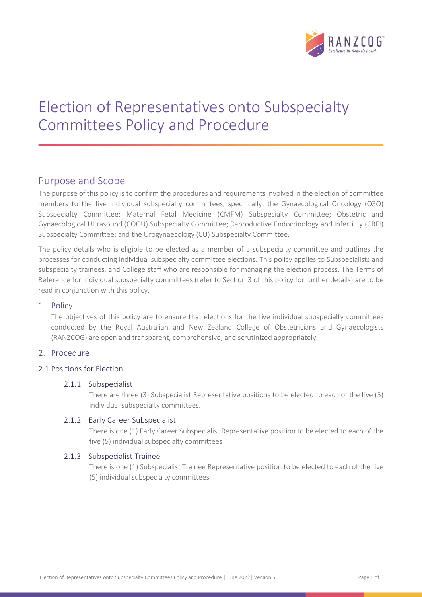

# Election of Representatives onto Subspecialty Committees Policy and Procedure

# Purpose and Scope

The purpose of this policy is to confirm the procedures and requirements involved in the election of committee members to the five individual subspecialty committees, specifically; the Gynaecological Oncology (CGO) Subspecialty Committee; Maternal Fetal Medicine (CMFM) Subspecialty Committee; Obstetric and Gynaecological Ultrasound (COGU) Subspecialty Committee; Reproductive Endocrinology and Infertility (CREI) Subspecialty Committee; and the Urogynaecology (CU) Subspecialty Committee.

The policy details who is eligible to be elected as a member of a subspecialty committee and outlines the processes for conducting individual subspecialty committee elections. This policy applies to Subspecialists and subspecialty trainees, and College staff who are responsible for managing the election process. The Terms of Reference for individual subspecialty committees (refer to Section 3 of this policy for further details) are to be read in conjunction with this policy.

# 1. Policy

The objectives of this policy are to ensure that elections for the five individual subspecialty committees conducted by the Royal Australian and New Zealand College of Obstetricians and Gynaecologists (RANZCOG) are open and transparent, comprehensive, and scrutinized appropriately.

# 2. Procedure

# 2.1 Positions for Election

# 2.1.1 Subspecialist

There are three (3) Subspecialist Representative positions to be elected to each of the five (5) individual subspecialty committees.

# 2.1.2 Early Career Subspecialist

There is one (1) Early Career Subspecialist Representative position to be elected to each of the five (5) individual subspecialty committees

# 2.1.3 Subspecialist Trainee

There is one (1) Subspecialist Trainee Representative position to be elected to each of the five (5) individual subspecialty committees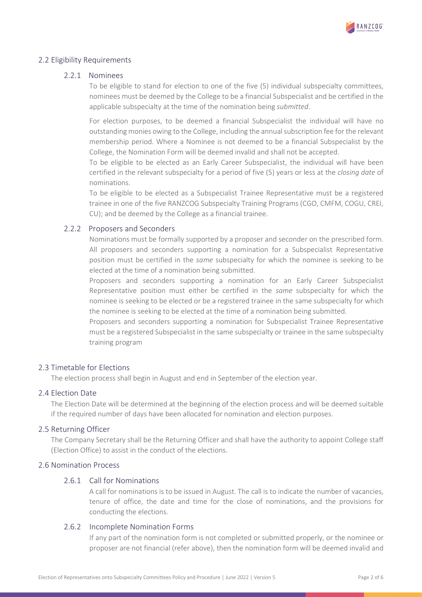

#### 2.2 Eligibility Requirements

#### 2.2.1 Nominees

To be eligible to stand for election to one of the five (5) individual subspecialty committees, nominees must be deemed by the College to be a financial Subspecialist and be certified in the applicable subspecialty at the time of the nomination being submitted.

For election purposes, to be deemed a financial Subspecialist the individual will have no outstanding monies owing to the College, including the annual subscription fee for the relevant membership period. Where a Nominee is not deemed to be a financial Subspecialist by the College, the Nomination Form will be deemed invalid and shall not be accepted.

To be eligible to be elected as an Early Career Subspecialist, the individual will have been certified in the relevant subspecialty for a period of five (5) years or less at the *closing date* of nominations.

To be eligible to be elected as a Subspecialist Trainee Representative must be a registered trainee in one of the five RANZCOG Subspecialty Training Programs (CGO, CMFM, COGU, CREI, CU); and be deemed by the College as a financial trainee.

#### 2.2.2 Proposers and Seconders

Nominations must be formally supported by a proposer and seconder on the prescribed form. All proposers and seconders supporting a nomination for a Subspecialist Representative position must be certified in the *same* subspecialty for which the nominee is seeking to be elected at the time of a nomination being submitted.

Proposers and seconders supporting a nomination for an Early Career Subspecialist Representative position must either be certified in the same subspecialty for which the nominee is seeking to be elected or be a registered trainee in the same subspecialty for which the nominee is seeking to be elected at the time of a nomination being submitted.

Proposers and seconders supporting a nomination for Subspecialist Trainee Representative must be a registered Subspecialist in the same subspecialty or trainee in the same subspecialty training program

# 2.3 Timetable for Elections

The election process shall begin in August and end in September of the election year.

#### 2.4 Election Date

The Election Date will be determined at the beginning of the election process and will be deemed suitable if the required number of days have been allocated for nomination and election purposes.

#### 2.5 Returning Officer

The Company Secretary shall be the Returning Officer and shall have the authority to appoint College staff (Election Office) to assist in the conduct of the elections.

#### 2.6 Nomination Process

#### 2.6.1 Call for Nominations

A call for nominations is to be issued in August. The call is to indicate the number of vacancies, tenure of office, the date and time for the close of nominations, and the provisions for conducting the elections.

# 2.6.2 Incomplete Nomination Forms

If any part of the nomination form is not completed or submitted properly, or the nominee or proposer are not financial (refer above), then the nomination form will be deemed invalid and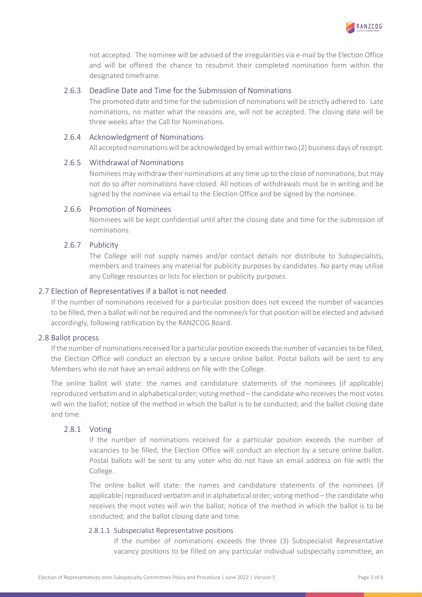

not accepted. The nominee will be advised of the irregularities via e-mail by the Election Office and will be offered the chance to resubmit their completed nomination form within the designated timeframe.

#### 2.6.3 Deadline Date and Time for the Submission of Nominations

The promoted date and time for the submission of nominations will be strictly adhered to. Late nominations, no matter what the reasons are, will not be accepted. The closing date will be three weeks after the Call for Nominations.

#### 2.6.4 Acknowledgment of Nominations

All accepted nominations will be acknowledged by email within two (2) business days of receipt.

#### 2.6.5 Withdrawal of Nominations

Nominees may withdraw their nominations at any time up to the close of nominations, but may not do so after nominations have closed. All notices of withdrawals must be in writing and be signed by the nominee via email to the Election Office and be signed by the nominee.

#### 2.6.6 Promotion of Nominees

Nominees will be kept confidential until after the closing date and time for the submission of nominations.

#### 2.6.7 Publicity

The College will not supply names and/or contact details nor distribute to Subspecialists, members and trainees any material for publicity purposes by candidates. No party may utilise any College resources or lists for election or publicity purposes.

#### 2.7 Election of Representatives if a ballot is not needed

If the number of nominations received for a particular position does not exceed the number of vacancies to be filled, then a ballot will not be required and the nominee/s for that position will be elected and advised accordingly, following ratification by the RANZCOG Board.

#### 2.8 Ballot process

If the number of nominations received for a particular position exceeds the number of vacancies to be filled, the Election Office will conduct an election by a secure online ballot. Postal ballots will be sent to any Members who do not have an email address on file with the College.

The online ballot will state: the names and candidature statements of the nominees (if applicable) reproduced verbatim and in alphabetical order; voting method – the candidate who receives the most votes will win the ballot; notice of the method in which the ballot is to be conducted; and the ballot closing date and time.

#### 2.8.1 Voting

If the number of nominations received for a particular position exceeds the number of vacancies to be filled, the Election Office will conduct an election by a secure online ballot. Postal ballots will be sent to any voter who do not have an email address on file with the College.

The online ballot will state: the names and candidature statements of the nominees (if applicable) reproduced verbatim and in alphabetical order; voting method – the candidate who receives the most votes will win the ballot; notice of the method in which the ballot is to be conducted; and the ballot closing date and time.

#### 2.8.1.1 Subspecialist Representative positions

If the number of nominations exceeds the three (3) Subspecialist Representative vacancy positions to be filled on any particular individual subspecialty committee, an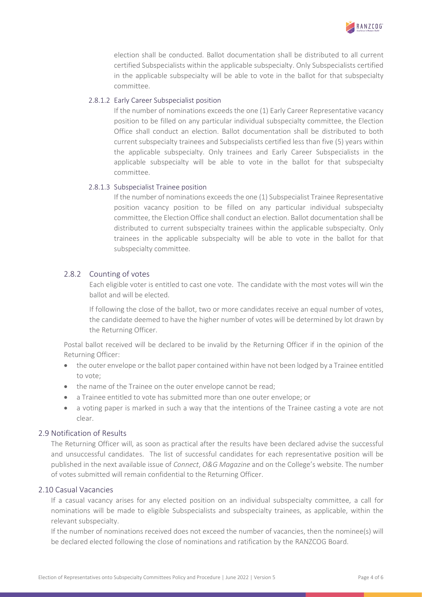

election shall be conducted. Ballot documentation shall be distributed to all current certified Subspecialists within the applicable subspecialty. Only Subspecialists certified in the applicable subspecialty will be able to vote in the ballot for that subspecialty committee.

#### 2.8.1.2 Early Career Subspecialist position

If the number of nominations exceeds the one (1) Early Career Representative vacancy position to be filled on any particular individual subspecialty committee, the Election Office shall conduct an election. Ballot documentation shall be distributed to both current subspecialty trainees and Subspecialists certified less than five (5) years within the applicable subspecialty. Only trainees and Early Career Subspecialists in the applicable subspecialty will be able to vote in the ballot for that subspecialty committee.

#### 2.8.1.3 Subspecialist Trainee position

If the number of nominations exceeds the one (1) Subspecialist Trainee Representative position vacancy position to be filled on any particular individual subspecialty committee, the Election Office shall conduct an election. Ballot documentation shall be distributed to current subspecialty trainees within the applicable subspecialty. Only trainees in the applicable subspecialty will be able to vote in the ballot for that subspecialty committee.

# 2.8.2 Counting of votes

Each eligible voter is entitled to cast one vote. The candidate with the most votes will win the ballot and will be elected.

If following the close of the ballot, two or more candidates receive an equal number of votes, the candidate deemed to have the higher number of votes will be determined by lot drawn by the Returning Officer.

Postal ballot received will be declared to be invalid by the Returning Officer if in the opinion of the Returning Officer:

- the outer envelope or the ballot paper contained within have not been lodged by a Trainee entitled to vote;
- the name of the Trainee on the outer envelope cannot be read;
- a Trainee entitled to vote has submitted more than one outer envelope; or
- a voting paper is marked in such a way that the intentions of the Trainee casting a vote are not clear.

# 2.9 Notification of Results

The Returning Officer will, as soon as practical after the results have been declared advise the successful and unsuccessful candidates. The list of successful candidates for each representative position will be published in the next available issue of Connect, O&G Magazine and on the College's website. The number of votes submitted will remain confidential to the Returning Officer.

#### 2.10 Casual Vacancies

If a casual vacancy arises for any elected position on an individual subspecialty committee, a call for nominations will be made to eligible Subspecialists and subspecialty trainees, as applicable, within the relevant subspecialty.

If the number of nominations received does not exceed the number of vacancies, then the nominee(s) will be declared elected following the close of nominations and ratification by the RANZCOG Board.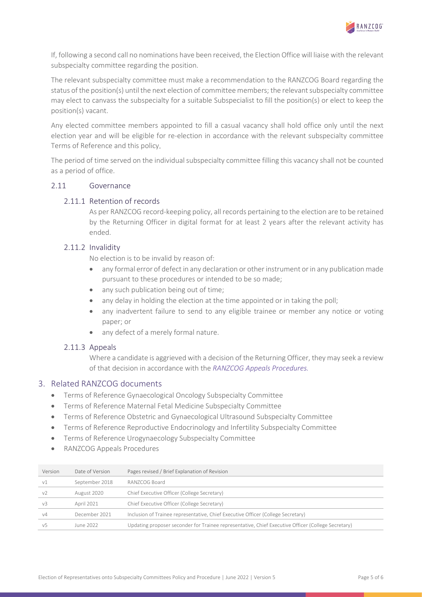

If, following a second call no nominations have been received, the Election Office will liaise with the relevant subspecialty committee regarding the position.

The relevant subspecialty committee must make a recommendation to the RANZCOG Board regarding the status of the position(s) until the next election of committee members; the relevant subspecialty committee may elect to canvass the subspecialty for a suitable Subspecialist to fill the position(s) or elect to keep the position(s) vacant.

Any elected committee members appointed to fill a casual vacancy shall hold office only until the next election year and will be eligible for re-election in accordance with the relevant subspecialty committee Terms of Reference and this policy.

The period of time served on the individual subspecialty committee filling this vacancy shall not be counted as a period of office.

#### 2.11 Governance

#### 2.11.1 Retention of records

As per RANZCOG record-keeping policy, all records pertaining to the election are to be retained by the Returning Officer in digital format for at least 2 years after the relevant activity has ended.

# 2.11.2 Invalidity

No election is to be invalid by reason of:

- any formal error of defect in any declaration or other instrument or in any publication made pursuant to these procedures or intended to be so made;
- any such publication being out of time;
- any delay in holding the election at the time appointed or in taking the poll;
- any inadvertent failure to send to any eligible trainee or member any notice or voting paper; or
- any defect of a merely formal nature.

#### 2.11.3 Appeals

Where a candidate is aggrieved with a decision of the Returning Officer, they may seek a review of that decision in accordance with the RANZCOG Appeals Procedures.

#### 3. Related RANZCOG documents

- Terms of Reference Gynaecological Oncology Subspecialty Committee
- Terms of Reference Maternal Fetal Medicine Subspecialty Committee
- Terms of Reference Obstetric and Gynaecological Ultrasound Subspecialty Committee
- Terms of Reference Reproductive Endocrinology and Infertility Subspecialty Committee
- Terms of Reference Urogynaecology Subspecialty Committee
- RANZCOG Appeals Procedures

| Version        | Date of Version | Pages revised / Brief Explanation of Revision                                                      |
|----------------|-----------------|----------------------------------------------------------------------------------------------------|
| v1             | September 2018  | RANZCOG Board                                                                                      |
| V <sub>2</sub> | August 2020     | Chief Executive Officer (College Secretary)                                                        |
| v <sup>3</sup> | April 2021      | Chief Executive Officer (College Secretary)                                                        |
| v4             | December 2021   | Inclusion of Trainee representative, Chief Executive Officer (College Secretary)                   |
| v5             | June 2022       | Updating proposer seconder for Trainee representative, Chief Executive Officer (College Secretary) |
|                |                 |                                                                                                    |